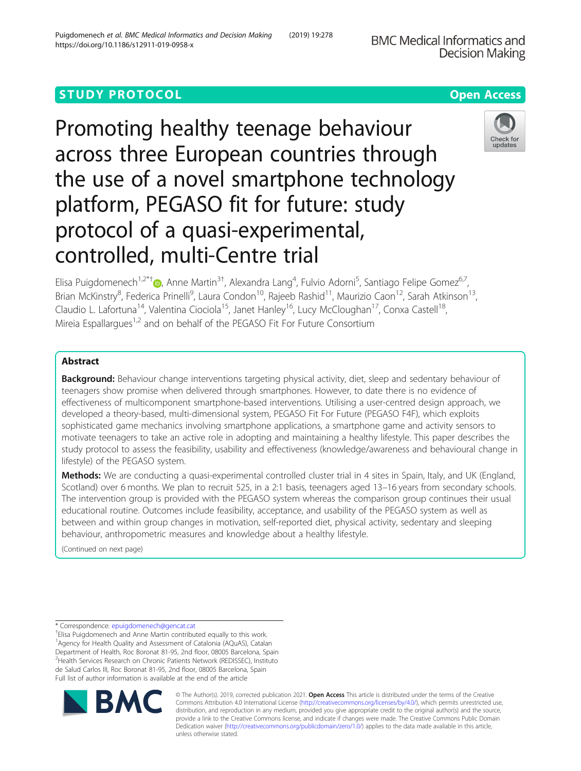# **STUDY PROTOCOL CONSUMING THE RESERVE ACCESS**

Promoting healthy teenage behaviour across three European countries through the use of a novel smartphone technology platform, PEGASO fit for future: study protocol of a quasi-experimental, controlled, multi-Centre trial



Elisa Puigdomenech<sup>1[,](http://orcid.org/0000-0002-1671-0248)2\*†</sup>®, Anne Martin<sup>3†</sup>, Alexandra Lang<sup>4</sup>, Fulvio Adorni<sup>5</sup>, Santiago Felipe Gomez<sup>6,7</sup>, Brian McKinstry<sup>8</sup>, Federica Prinelli<sup>9</sup>, Laura Condon<sup>10</sup>, Rajeeb Rashid<sup>11</sup>, Maurizio Caon<sup>12</sup>, Sarah Atkinson<sup>13</sup>, Claudio L. Lafortuna<sup>14</sup>, Valentina Ciociola<sup>15</sup>, Janet Hanley<sup>16</sup>, Lucy McCloughan<sup>17</sup>, Conxa Castell<sup>18</sup>, Mireia Espallargues<sup>1,2</sup> and on behalf of the PEGASO Fit For Future Consortium

# Abstract

Background: Behaviour change interventions targeting physical activity, diet, sleep and sedentary behaviour of teenagers show promise when delivered through smartphones. However, to date there is no evidence of effectiveness of multicomponent smartphone-based interventions. Utilising a user-centred design approach, we developed a theory-based, multi-dimensional system, PEGASO Fit For Future (PEGASO F4F), which exploits sophisticated game mechanics involving smartphone applications, a smartphone game and activity sensors to motivate teenagers to take an active role in adopting and maintaining a healthy lifestyle. This paper describes the study protocol to assess the feasibility, usability and effectiveness (knowledge/awareness and behavioural change in lifestyle) of the PEGASO system.

Methods: We are conducting a quasi-experimental controlled cluster trial in 4 sites in Spain, Italy, and UK (England, Scotland) over 6 months. We plan to recruit 525, in a 2:1 basis, teenagers aged 13–16 years from secondary schools. The intervention group is provided with the PEGASO system whereas the comparison group continues their usual educational routine. Outcomes include feasibility, acceptance, and usability of the PEGASO system as well as between and within group changes in motivation, self-reported diet, physical activity, sedentary and sleeping behaviour, anthropometric measures and knowledge about a healthy lifestyle.

(Continued on next page)

\* Correspondence: [epuigdomenech@gencat.cat](mailto:epuigdomenech@gencat.cat) †

Elisa Puigdomenech and Anne Martin contributed equally to this work. <sup>1</sup> Agency for Health Quality and Assessment of Catalonia (AQuAS), Catalan Department of Health, Roc Boronat 81-95, 2nd floor, 08005 Barcelona, Spain <sup>2</sup> Health Services Research on Chronic Patients Network (REDISSEC), Instituto de Salud Carlos III, Roc Boronat 81-95, 2nd floor, 08005 Barcelona, Spain Full list of author information is available at the end of the article



© The Author(s). 2019, corrected publication 2021. Open Access This article is distributed under the terms of the Creative Commons Attribution 4.0 International License ([http://creativecommons.org/licenses/by/4.0/\)](http://creativecommons.org/licenses/by/4.0/), which permits unrestricted use, distribution, and reproduction in any medium, provided you give appropriate credit to the original author(s) and the source, provide a link to the Creative Commons license, and indicate if changes were made. The Creative Commons Public Domain Dedication waiver [\(http://creativecommons.org/publicdomain/zero/1.0/\)](http://creativecommons.org/publicdomain/zero/1.0/) applies to the data made available in this article, unless otherwise stated.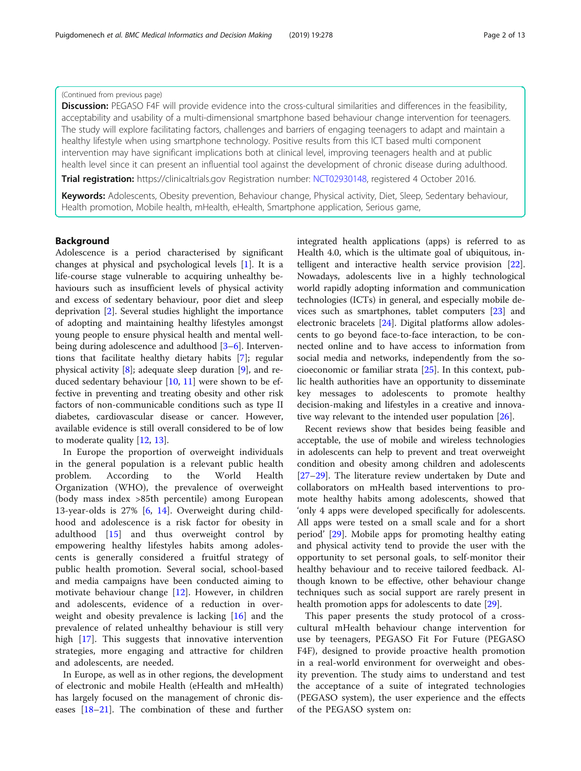# (Continued from previous page)

Discussion: PEGASO F4F will provide evidence into the cross-cultural similarities and differences in the feasibility, acceptability and usability of a multi-dimensional smartphone based behaviour change intervention for teenagers. The study will explore facilitating factors, challenges and barriers of engaging teenagers to adapt and maintain a healthy lifestyle when using smartphone technology. Positive results from this ICT based multi component intervention may have significant implications both at clinical level, improving teenagers health and at public health level since it can present an influential tool against the development of chronic disease during adulthood.

Trial registration: https://clinicaltrials.gov Registration number: [NCT02930148](https://www.clinicaltrials.gov/ct2/show/NCT02930148), registered 4 October 2016.

Keywords: Adolescents, Obesity prevention, Behaviour change, Physical activity, Diet, Sleep, Sedentary behaviour, Health promotion, Mobile health, mHealth, eHealth, Smartphone application, Serious game,

## Background

Adolescence is a period characterised by significant changes at physical and psychological levels [\[1](#page-11-0)]. It is a life-course stage vulnerable to acquiring unhealthy behaviours such as insufficient levels of physical activity and excess of sedentary behaviour, poor diet and sleep deprivation [[2\]](#page-11-0). Several studies highlight the importance of adopting and maintaining healthy lifestyles amongst young people to ensure physical health and mental wellbeing during adolescence and adulthood [[3](#page-11-0)–[6](#page-11-0)]. Interventions that facilitate healthy dietary habits [[7\]](#page-11-0); regular physical activity [\[8](#page-11-0)]; adequate sleep duration [[9\]](#page-11-0), and reduced sedentary behaviour  $[10, 11]$  $[10, 11]$  $[10, 11]$  $[10, 11]$  were shown to be effective in preventing and treating obesity and other risk factors of non-communicable conditions such as type II diabetes, cardiovascular disease or cancer. However, available evidence is still overall considered to be of low to moderate quality [\[12,](#page-11-0) [13\]](#page-11-0).

In Europe the proportion of overweight individuals in the general population is a relevant public health problem. According to the World Health Organization (WHO), the prevalence of overweight (body mass index >85th percentile) among European 13-year-olds is 27% [\[6](#page-11-0), [14](#page-11-0)]. Overweight during childhood and adolescence is a risk factor for obesity in adulthood [[15\]](#page-11-0) and thus overweight control by empowering healthy lifestyles habits among adolescents is generally considered a fruitful strategy of public health promotion. Several social, school-based and media campaigns have been conducted aiming to motivate behaviour change [[12\]](#page-11-0). However, in children and adolescents, evidence of a reduction in overweight and obesity prevalence is lacking [[16\]](#page-11-0) and the prevalence of related unhealthy behaviour is still very high [[17\]](#page-11-0). This suggests that innovative intervention strategies, more engaging and attractive for children and adolescents, are needed.

In Europe, as well as in other regions, the development of electronic and mobile Health (eHealth and mHealth) has largely focused on the management of chronic diseases [\[18](#page-11-0)–[21\]](#page-11-0). The combination of these and further integrated health applications (apps) is referred to as Health 4.0, which is the ultimate goal of ubiquitous, intelligent and interactive health service provision [\[22](#page-11-0)]. Nowadays, adolescents live in a highly technological world rapidly adopting information and communication technologies (ICTs) in general, and especially mobile devices such as smartphones, tablet computers [[23](#page-11-0)] and electronic bracelets [[24](#page-11-0)]. Digital platforms allow adolescents to go beyond face-to-face interaction, to be connected online and to have access to information from social media and networks, independently from the socioeconomic or familiar strata [\[25\]](#page-11-0). In this context, public health authorities have an opportunity to disseminate key messages to adolescents to promote healthy decision-making and lifestyles in a creative and innovative way relevant to the intended user population [\[26](#page-11-0)].

Recent reviews show that besides being feasible and acceptable, the use of mobile and wireless technologies in adolescents can help to prevent and treat overweight condition and obesity among children and adolescents [[27](#page-11-0)–[29](#page-11-0)]. The literature review undertaken by Dute and collaborators on mHealth based interventions to promote healthy habits among adolescents, showed that 'only 4 apps were developed specifically for adolescents. All apps were tested on a small scale and for a short period' [\[29](#page-11-0)]. Mobile apps for promoting healthy eating and physical activity tend to provide the user with the opportunity to set personal goals, to self-monitor their healthy behaviour and to receive tailored feedback. Although known to be effective, other behaviour change techniques such as social support are rarely present in health promotion apps for adolescents to date [[29](#page-11-0)].

This paper presents the study protocol of a crosscultural mHealth behaviour change intervention for use by teenagers, PEGASO Fit For Future (PEGASO F4F), designed to provide proactive health promotion in a real-world environment for overweight and obesity prevention. The study aims to understand and test the acceptance of a suite of integrated technologies (PEGASO system), the user experience and the effects of the PEGASO system on: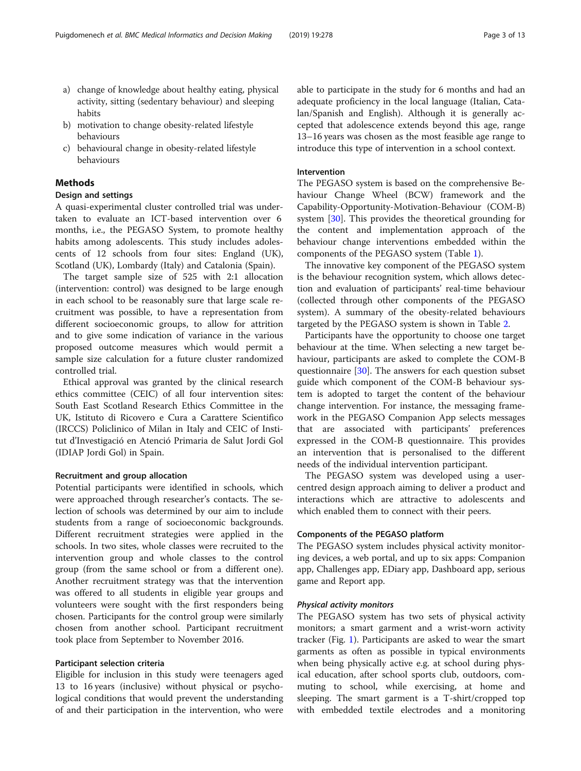- a) change of knowledge about healthy eating, physical activity, sitting (sedentary behaviour) and sleeping habits
- b) motivation to change obesity-related lifestyle behaviours
- c) behavioural change in obesity-related lifestyle behaviours

# **Methods**

# Design and settings

A quasi-experimental cluster controlled trial was undertaken to evaluate an ICT-based intervention over 6 months, i.e., the PEGASO System, to promote healthy habits among adolescents. This study includes adolescents of 12 schools from four sites: England (UK), Scotland (UK), Lombardy (Italy) and Catalonia (Spain).

The target sample size of 525 with 2:1 allocation (intervention: control) was designed to be large enough in each school to be reasonably sure that large scale recruitment was possible, to have a representation from different socioeconomic groups, to allow for attrition and to give some indication of variance in the various proposed outcome measures which would permit a sample size calculation for a future cluster randomized controlled trial.

Ethical approval was granted by the clinical research ethics committee (CEIC) of all four intervention sites: South East Scotland Research Ethics Committee in the UK, Istituto di Ricovero e Cura a Carattere Scientifico (IRCCS) Policlinico of Milan in Italy and CEIC of Institut d'Investigació en Atenció Primaria de Salut Jordi Gol (IDIAP Jordi Gol) in Spain.

## Recruitment and group allocation

Potential participants were identified in schools, which were approached through researcher's contacts. The selection of schools was determined by our aim to include students from a range of socioeconomic backgrounds. Different recruitment strategies were applied in the schools. In two sites, whole classes were recruited to the intervention group and whole classes to the control group (from the same school or from a different one). Another recruitment strategy was that the intervention was offered to all students in eligible year groups and volunteers were sought with the first responders being chosen. Participants for the control group were similarly chosen from another school. Participant recruitment took place from September to November 2016.

## Participant selection criteria

Eligible for inclusion in this study were teenagers aged 13 to 16 years (inclusive) without physical or psychological conditions that would prevent the understanding of and their participation in the intervention, who were able to participate in the study for 6 months and had an adequate proficiency in the local language (Italian, Catalan/Spanish and English). Although it is generally accepted that adolescence extends beyond this age, range 13–16 years was chosen as the most feasible age range to introduce this type of intervention in a school context.

#### Intervention

The PEGASO system is based on the comprehensive Behaviour Change Wheel (BCW) framework and the Capability-Opportunity-Motivation-Behaviour (COM-B) system [\[30](#page-11-0)]. This provides the theoretical grounding for the content and implementation approach of the behaviour change interventions embedded within the components of the PEGASO system (Table [1](#page-3-0)).

The innovative key component of the PEGASO system is the behaviour recognition system, which allows detection and evaluation of participants' real-time behaviour (collected through other components of the PEGASO system). A summary of the obesity-related behaviours targeted by the PEGASO system is shown in Table [2](#page-4-0).

Participants have the opportunity to choose one target behaviour at the time. When selecting a new target behaviour, participants are asked to complete the COM-B questionnaire [\[30](#page-11-0)]. The answers for each question subset guide which component of the COM-B behaviour system is adopted to target the content of the behaviour change intervention. For instance, the messaging framework in the PEGASO Companion App selects messages that are associated with participants' preferences expressed in the COM-B questionnaire. This provides an intervention that is personalised to the different needs of the individual intervention participant.

The PEGASO system was developed using a usercentred design approach aiming to deliver a product and interactions which are attractive to adolescents and which enabled them to connect with their peers.

#### Components of the PEGASO platform

The PEGASO system includes physical activity monitoring devices, a web portal, and up to six apps: Companion app, Challenges app, EDiary app, Dashboard app, serious game and Report app.

#### Physical activity monitors

The PEGASO system has two sets of physical activity monitors; a smart garment and a wrist-worn activity tracker (Fig. [1\)](#page-4-0). Participants are asked to wear the smart garments as often as possible in typical environments when being physically active e.g. at school during physical education, after school sports club, outdoors, commuting to school, while exercising, at home and sleeping. The smart garment is a T-shirt/cropped top with embedded textile electrodes and a monitoring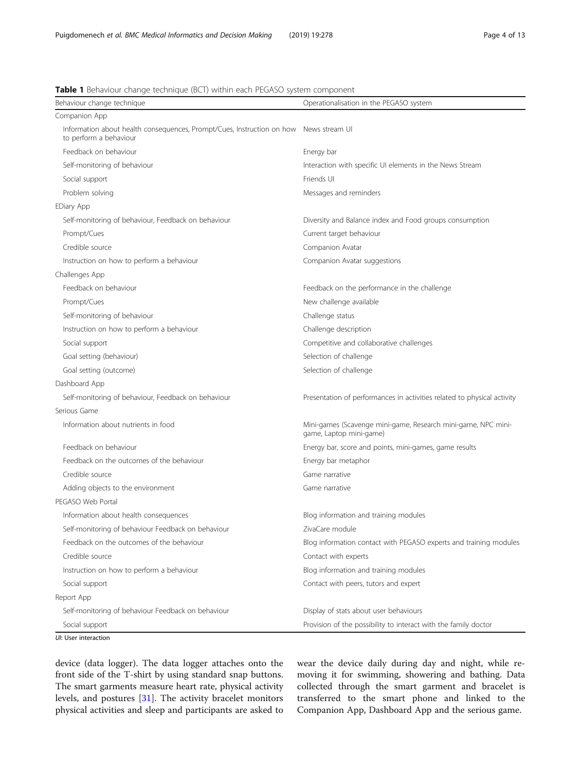<span id="page-3-0"></span>

|  | <b>Table 1</b> Behaviour change technique (BCT) within each PEGASO system component |
|--|-------------------------------------------------------------------------------------|
|--|-------------------------------------------------------------------------------------|

| Behaviour change technique                                                                                      | Operationalisation in the PEGASO system                                                  |
|-----------------------------------------------------------------------------------------------------------------|------------------------------------------------------------------------------------------|
| Companion App                                                                                                   |                                                                                          |
| Information about health consequences, Prompt/Cues, Instruction on how News stream UI<br>to perform a behaviour |                                                                                          |
| Feedback on behaviour                                                                                           | Energy bar                                                                               |
| Self-monitoring of behaviour                                                                                    | Interaction with specific UI elements in the News Stream                                 |
| Social support                                                                                                  | Friends UI                                                                               |
| Problem solving                                                                                                 | Messages and reminders                                                                   |
| EDiary App                                                                                                      |                                                                                          |
| Self-monitoring of behaviour, Feedback on behaviour                                                             | Diversity and Balance index and Food groups consumption                                  |
| Prompt/Cues                                                                                                     | Current target behaviour                                                                 |
| Credible source                                                                                                 | Companion Avatar                                                                         |
| Instruction on how to perform a behaviour                                                                       | Companion Avatar suggestions                                                             |
| Challenges App                                                                                                  |                                                                                          |
| Feedback on behaviour                                                                                           | Feedback on the performance in the challenge                                             |
| Prompt/Cues                                                                                                     | New challenge available                                                                  |
| Self-monitoring of behaviour                                                                                    | Challenge status                                                                         |
| Instruction on how to perform a behaviour                                                                       | Challenge description                                                                    |
| Social support                                                                                                  | Competitive and collaborative challenges                                                 |
| Goal setting (behaviour)                                                                                        | Selection of challenge                                                                   |
| Goal setting (outcome)                                                                                          | Selection of challenge                                                                   |
| Dashboard App                                                                                                   |                                                                                          |
| Self-monitoring of behaviour, Feedback on behaviour                                                             | Presentation of performances in activities related to physical activity                  |
| Serious Game                                                                                                    |                                                                                          |
| Information about nutrients in food                                                                             | Mini-games (Scavenge mini-game, Research mini-game, NPC mini-<br>game, Laptop mini-game) |
| Feedback on behaviour                                                                                           | Energy bar, score and points, mini-games, game results                                   |
| Feedback on the outcomes of the behaviour                                                                       | Energy bar metaphor                                                                      |
| Credible source                                                                                                 | Game narrative                                                                           |
| Adding objects to the environment                                                                               | Game narrative                                                                           |
| PEGASO Web Portal                                                                                               |                                                                                          |
| Information about health consequences                                                                           | Blog information and training modules                                                    |
| Self-monitoring of behaviour Feedback on behaviour                                                              | ZivaCare module                                                                          |
| Feedback on the outcomes of the behaviour                                                                       | Blog information contact with PEGASO experts and training modules                        |
| Credible source                                                                                                 | Contact with experts                                                                     |
| Instruction on how to perform a behaviour                                                                       | Blog information and training modules                                                    |
| Social support                                                                                                  | Contact with peers, tutors and expert                                                    |
| Report App                                                                                                      |                                                                                          |
| Self-monitoring of behaviour Feedback on behaviour                                                              | Display of stats about user behaviours                                                   |
| Social support                                                                                                  | Provision of the possibility to interact with the family doctor                          |

UI: User interaction

device (data logger). The data logger attaches onto the front side of the T-shirt by using standard snap buttons. The smart garments measure heart rate, physical activity levels, and postures [\[31](#page-12-0)]. The activity bracelet monitors physical activities and sleep and participants are asked to

wear the device daily during day and night, while removing it for swimming, showering and bathing. Data collected through the smart garment and bracelet is transferred to the smart phone and linked to the Companion App, Dashboard App and the serious game.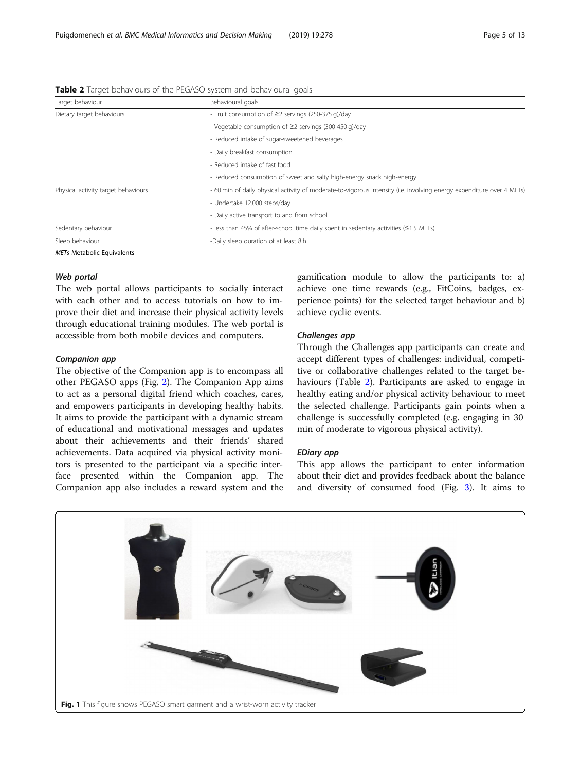<span id="page-4-0"></span>Puigdomenech et al. BMC Medical Informatics and Decision Making (2019) 19:278 Page 5 of 13

| Target behaviour                    | Behavioural goals                                                                                                     |
|-------------------------------------|-----------------------------------------------------------------------------------------------------------------------|
| Dietary target behaviours           | - Fruit consumption of 22 servings (250-375 g)/day                                                                    |
|                                     | - Vegetable consumption of $\geq$ 2 servings (300-450 g)/day                                                          |
|                                     | - Reduced intake of sugar-sweetened beverages                                                                         |
|                                     | - Daily breakfast consumption                                                                                         |
|                                     | - Reduced intake of fast food                                                                                         |
|                                     | - Reduced consumption of sweet and salty high-energy snack high-energy                                                |
| Physical activity target behaviours | - 60 min of daily physical activity of moderate-to-vigorous intensity (i.e. involving energy expenditure over 4 METs) |
|                                     | - Undertake 12.000 steps/day                                                                                          |
|                                     | - Daily active transport to and from school                                                                           |
| Sedentary behaviour                 | - less than 45% of after-school time daily spent in sedentary activities (≤1.5 METs)                                  |
| Sleep behaviour                     | -Daily sleep duration of at least 8 h                                                                                 |
|                                     |                                                                                                                       |

Table 2 Target behaviours of the PEGASO system and behavioural goals

METs Metabolic Equivalents

#### Web portal

The web portal allows participants to socially interact with each other and to access tutorials on how to improve their diet and increase their physical activity levels through educational training modules. The web portal is accessible from both mobile devices and computers.

#### Companion app

The objective of the Companion app is to encompass all other PEGASO apps (Fig. [2](#page-5-0)). The Companion App aims to act as a personal digital friend which coaches, cares, and empowers participants in developing healthy habits. It aims to provide the participant with a dynamic stream of educational and motivational messages and updates about their achievements and their friends' shared achievements. Data acquired via physical activity monitors is presented to the participant via a specific interface presented within the Companion app. The Companion app also includes a reward system and the

gamification module to allow the participants to: a) achieve one time rewards (e.g., FitCoins, badges, experience points) for the selected target behaviour and b) achieve cyclic events.

# Challenges app

Through the Challenges app participants can create and accept different types of challenges: individual, competitive or collaborative challenges related to the target behaviours (Table 2). Participants are asked to engage in healthy eating and/or physical activity behaviour to meet the selected challenge. Participants gain points when a challenge is successfully completed (e.g. engaging in 30 min of moderate to vigorous physical activity).

## EDiary app

This app allows the participant to enter information about their diet and provides feedback about the balance and diversity of consumed food (Fig. [3](#page-5-0)). It aims to

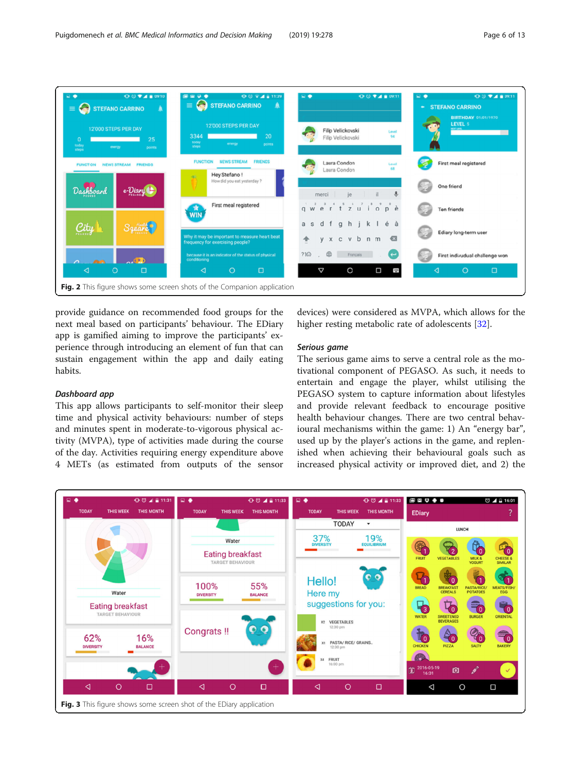<span id="page-5-0"></span>

provide guidance on recommended food groups for the next meal based on participants' behaviour. The EDiary app is gamified aiming to improve the participants' experience through introducing an element of fun that can sustain engagement within the app and daily eating habits.

# Dashboard app

This app allows participants to self-monitor their sleep time and physical activity behaviours: number of steps and minutes spent in moderate-to-vigorous physical activity (MVPA), type of activities made during the course of the day. Activities requiring energy expenditure above 4 METs (as estimated from outputs of the sensor

devices) were considered as MVPA, which allows for the higher resting metabolic rate of adolescents [\[32](#page-12-0)].

## Serious game

The serious game aims to serve a central role as the motivational component of PEGASO. As such, it needs to entertain and engage the player, whilst utilising the PEGASO system to capture information about lifestyles and provide relevant feedback to encourage positive health behaviour changes. There are two central behavioural mechanisms within the game: 1) An "energy bar", used up by the player's actions in the game, and replenished when achieving their behavioural goals such as increased physical activity or improved diet, and 2) the

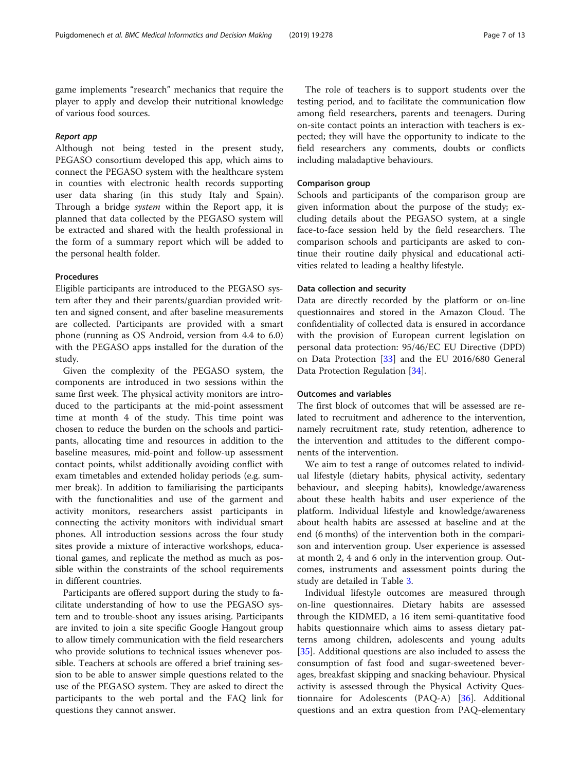game implements "research" mechanics that require the player to apply and develop their nutritional knowledge of various food sources.

# Report app

Although not being tested in the present study, PEGASO consortium developed this app, which aims to connect the PEGASO system with the healthcare system in counties with electronic health records supporting user data sharing (in this study Italy and Spain). Through a bridge system within the Report app, it is planned that data collected by the PEGASO system will be extracted and shared with the health professional in the form of a summary report which will be added to the personal health folder.

#### Procedures

Eligible participants are introduced to the PEGASO system after they and their parents/guardian provided written and signed consent, and after baseline measurements are collected. Participants are provided with a smart phone (running as OS Android, version from 4.4 to 6.0) with the PEGASO apps installed for the duration of the study.

Given the complexity of the PEGASO system, the components are introduced in two sessions within the same first week. The physical activity monitors are introduced to the participants at the mid-point assessment time at month 4 of the study. This time point was chosen to reduce the burden on the schools and participants, allocating time and resources in addition to the baseline measures, mid-point and follow-up assessment contact points, whilst additionally avoiding conflict with exam timetables and extended holiday periods (e.g. summer break). In addition to familiarising the participants with the functionalities and use of the garment and activity monitors, researchers assist participants in connecting the activity monitors with individual smart phones. All introduction sessions across the four study sites provide a mixture of interactive workshops, educational games, and replicate the method as much as possible within the constraints of the school requirements in different countries.

Participants are offered support during the study to facilitate understanding of how to use the PEGASO system and to trouble-shoot any issues arising. Participants are invited to join a site specific Google Hangout group to allow timely communication with the field researchers who provide solutions to technical issues whenever possible. Teachers at schools are offered a brief training session to be able to answer simple questions related to the use of the PEGASO system. They are asked to direct the participants to the web portal and the FAQ link for questions they cannot answer.

The role of teachers is to support students over the testing period, and to facilitate the communication flow among field researchers, parents and teenagers. During on-site contact points an interaction with teachers is expected; they will have the opportunity to indicate to the field researchers any comments, doubts or conflicts including maladaptive behaviours.

#### Comparison group

Schools and participants of the comparison group are given information about the purpose of the study; excluding details about the PEGASO system, at a single face-to-face session held by the field researchers. The comparison schools and participants are asked to continue their routine daily physical and educational activities related to leading a healthy lifestyle.

#### Data collection and security

Data are directly recorded by the platform or on-line questionnaires and stored in the Amazon Cloud. The confidentiality of collected data is ensured in accordance with the provision of European current legislation on personal data protection: 95/46/EC EU Directive (DPD) on Data Protection [\[33\]](#page-12-0) and the EU 2016/680 General Data Protection Regulation [\[34\]](#page-12-0).

## Outcomes and variables

The first block of outcomes that will be assessed are related to recruitment and adherence to the intervention, namely recruitment rate, study retention, adherence to the intervention and attitudes to the different components of the intervention.

We aim to test a range of outcomes related to individual lifestyle (dietary habits, physical activity, sedentary behaviour, and sleeping habits), knowledge/awareness about these health habits and user experience of the platform. Individual lifestyle and knowledge/awareness about health habits are assessed at baseline and at the end (6 months) of the intervention both in the comparison and intervention group. User experience is assessed at month 2, 4 and 6 only in the intervention group. Outcomes, instruments and assessment points during the study are detailed in Table [3.](#page-7-0)

Individual lifestyle outcomes are measured through on-line questionnaires. Dietary habits are assessed through the KIDMED, a 16 item semi-quantitative food habits questionnaire which aims to assess dietary patterns among children, adolescents and young adults [[35\]](#page-12-0). Additional questions are also included to assess the consumption of fast food and sugar-sweetened beverages, breakfast skipping and snacking behaviour. Physical activity is assessed through the Physical Activity Questionnaire for Adolescents (PAQ-A) [[36\]](#page-12-0). Additional questions and an extra question from PAQ-elementary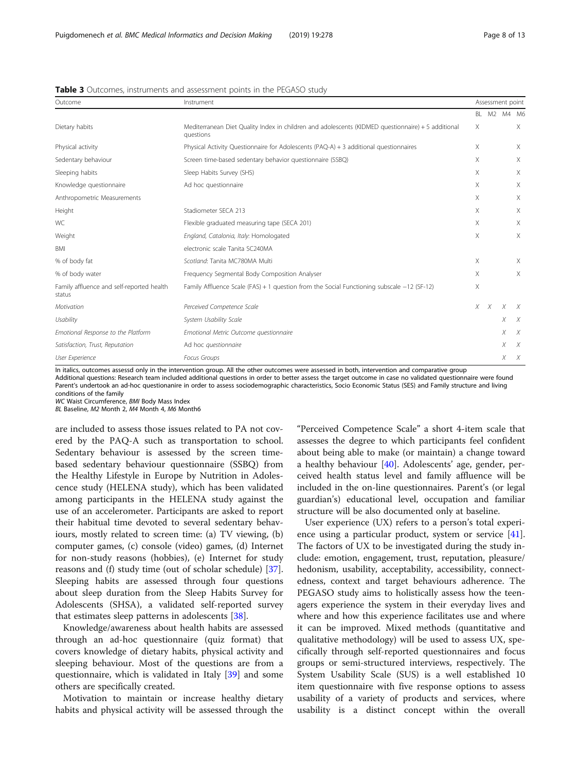| Outcome                                             | Instrument                                                                                                      |          | Assessment point |   |                  |
|-----------------------------------------------------|-----------------------------------------------------------------------------------------------------------------|----------|------------------|---|------------------|
|                                                     |                                                                                                                 | BL       | M <sub>2</sub>   |   | $M4$ Me          |
| Dietary habits                                      | Mediterranean Diet Quality Index in children and adolescents (KIDMED questionnaire) + 5 additional<br>questions | X        |                  |   | X                |
| Physical activity                                   | Physical Activity Questionnaire for Adolescents (PAQ-A) + 3 additional questionnaires                           | X        |                  |   | X                |
| Sedentary behaviour                                 | Screen time-based sedentary behavior questionnaire (SSBQ)                                                       | X        |                  |   | Χ                |
| Sleeping habits                                     | Sleep Habits Survey (SHS)                                                                                       | X        |                  |   | X                |
| Knowledge questionnaire                             | Ad hoc questionnaire                                                                                            | X        |                  |   | X                |
| Anthropometric Measurements                         |                                                                                                                 | X        |                  |   | X                |
| Height                                              | Stadiometer SECA 213                                                                                            | X        |                  |   | Χ                |
| WC                                                  | Flexible graduated measuring tape (SECA 201)                                                                    | X        |                  |   | Χ                |
| Weight                                              | England, Catalonia, Italy: Homologated                                                                          | $\times$ |                  |   | X                |
| BMI                                                 | electronic scale Tanita SC240MA                                                                                 |          |                  |   |                  |
| % of body fat                                       | Scotland: Tanita MC780MA Multi                                                                                  | X        |                  |   | X                |
| % of body water                                     | Frequency Segmental Body Composition Analyser                                                                   | X        |                  |   | Χ                |
| Family affluence and self-reported health<br>status | Family Affluence Scale (FAS) + 1 question from the Social Functioning subscale $-12$ (SF-12)                    | X        |                  |   |                  |
| Motivation                                          | Perceived Competence Scale                                                                                      | $\chi$   | $\times$         | X | X                |
| Usability                                           | System Usability Scale                                                                                          |          |                  | X | $\chi$           |
| Emotional Response to the Platform                  | Emotional Metric Outcome questionnaire                                                                          |          |                  | X | $\boldsymbol{X}$ |
| Satisfaction, Trust, Reputation                     | Ad hoc questionnaire                                                                                            |          |                  | X | $\chi$           |
| User Experience                                     | Focus Groups                                                                                                    |          |                  | X | $\chi$           |

<span id="page-7-0"></span>Table 3 Outcomes, instruments and assessment points in the PEGASO study

In italics, outcomes assessd only in the intervention group. All the other outcomes were assessed in both, intervention and comparative group Additional questions: Research team included additional questions in order to better assess the target outcome in case no validated questionnaire were found Parent's undertook an ad-hoc questionanire in order to assess sociodemographic characteristics, Socio Economic Status (SES) and Family structure and living conditions of the family

WC Waist Circumference, BMI Body Mass Index

BL Baseline, M2 Month 2, M4 Month 4, M6 Month6

are included to assess those issues related to PA not covered by the PAQ-A such as transportation to school. Sedentary behaviour is assessed by the screen timebased sedentary behaviour questionnaire (SSBQ) from the Healthy Lifestyle in Europe by Nutrition in Adolescence study (HELENA study), which has been validated among participants in the HELENA study against the use of an accelerometer. Participants are asked to report their habitual time devoted to several sedentary behaviours, mostly related to screen time: (a) TV viewing, (b) computer games, (c) console (video) games, (d) Internet for non-study reasons (hobbies), (e) Internet for study reasons and (f) study time (out of scholar schedule) [\[37](#page-12-0)]. Sleeping habits are assessed through four questions about sleep duration from the Sleep Habits Survey for Adolescents (SHSA), a validated self-reported survey that estimates sleep patterns in adolescents [[38](#page-12-0)].

Knowledge/awareness about health habits are assessed through an ad-hoc questionnaire (quiz format) that covers knowledge of dietary habits, physical activity and sleeping behaviour. Most of the questions are from a questionnaire, which is validated in Italy [\[39](#page-12-0)] and some others are specifically created.

Motivation to maintain or increase healthy dietary habits and physical activity will be assessed through the "Perceived Competence Scale" a short 4-item scale that assesses the degree to which participants feel confident about being able to make (or maintain) a change toward a healthy behaviour [\[40\]](#page-12-0). Adolescents' age, gender, perceived health status level and family affluence will be included in the on-line questionnaires. Parent's (or legal guardian's) educational level, occupation and familiar structure will be also documented only at baseline.

User experience (UX) refers to a person's total experience using a particular product, system or service [\[41](#page-12-0)]. The factors of UX to be investigated during the study include: emotion, engagement, trust, reputation, pleasure/ hedonism, usability, acceptability, accessibility, connectedness, context and target behaviours adherence. The PEGASO study aims to holistically assess how the teenagers experience the system in their everyday lives and where and how this experience facilitates use and where it can be improved. Mixed methods (quantitative and qualitative methodology) will be used to assess UX, specifically through self-reported questionnaires and focus groups or semi-structured interviews, respectively. The System Usability Scale (SUS) is a well established 10 item questionnaire with five response options to assess usability of a variety of products and services, where usability is a distinct concept within the overall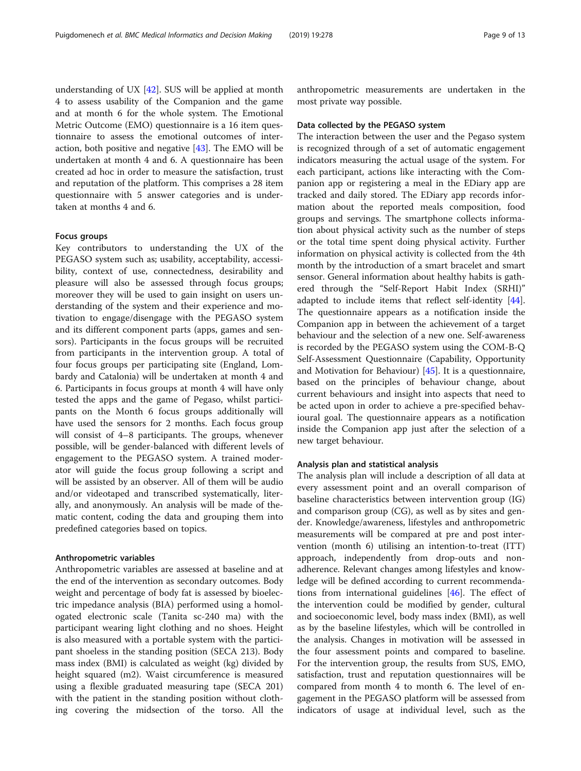understanding of UX [\[42](#page-12-0)]. SUS will be applied at month 4 to assess usability of the Companion and the game and at month 6 for the whole system. The Emotional Metric Outcome (EMO) questionnaire is a 16 item questionnaire to assess the emotional outcomes of interaction, both positive and negative [[43\]](#page-12-0). The EMO will be undertaken at month 4 and 6. A questionnaire has been created ad hoc in order to measure the satisfaction, trust and reputation of the platform. This comprises a 28 item questionnaire with 5 answer categories and is undertaken at months 4 and 6.

#### Focus groups

Key contributors to understanding the UX of the PEGASO system such as; usability, acceptability, accessibility, context of use, connectedness, desirability and pleasure will also be assessed through focus groups; moreover they will be used to gain insight on users understanding of the system and their experience and motivation to engage/disengage with the PEGASO system and its different component parts (apps, games and sensors). Participants in the focus groups will be recruited from participants in the intervention group. A total of four focus groups per participating site (England, Lombardy and Catalonia) will be undertaken at month 4 and 6. Participants in focus groups at month 4 will have only tested the apps and the game of Pegaso, whilst participants on the Month 6 focus groups additionally will have used the sensors for 2 months. Each focus group will consist of 4–8 participants. The groups, whenever possible, will be gender-balanced with different levels of engagement to the PEGASO system. A trained moderator will guide the focus group following a script and will be assisted by an observer. All of them will be audio and/or videotaped and transcribed systematically, literally, and anonymously. An analysis will be made of thematic content, coding the data and grouping them into predefined categories based on topics.

#### Anthropometric variables

Anthropometric variables are assessed at baseline and at the end of the intervention as secondary outcomes. Body weight and percentage of body fat is assessed by bioelectric impedance analysis (BIA) performed using a homologated electronic scale (Tanita sc-240 ma) with the participant wearing light clothing and no shoes. Height is also measured with a portable system with the participant shoeless in the standing position (SECA 213). Body mass index (BMI) is calculated as weight (kg) divided by height squared (m2). Waist circumference is measured using a flexible graduated measuring tape (SECA 201) with the patient in the standing position without clothing covering the midsection of the torso. All the anthropometric measurements are undertaken in the most private way possible.

#### Data collected by the PEGASO system

The interaction between the user and the Pegaso system is recognized through of a set of automatic engagement indicators measuring the actual usage of the system. For each participant, actions like interacting with the Companion app or registering a meal in the EDiary app are tracked and daily stored. The EDiary app records information about the reported meals composition, food groups and servings. The smartphone collects information about physical activity such as the number of steps or the total time spent doing physical activity. Further information on physical activity is collected from the 4th month by the introduction of a smart bracelet and smart sensor. General information about healthy habits is gathered through the "Self-Report Habit Index (SRHI)" adapted to include items that reflect self-identity [\[44](#page-12-0)]. The questionnaire appears as a notification inside the Companion app in between the achievement of a target behaviour and the selection of a new one. Self-awareness is recorded by the PEGASO system using the COM-B-Q Self-Assessment Questionnaire (Capability, Opportunity and Motivation for Behaviour) [\[45](#page-12-0)]. It is a questionnaire, based on the principles of behaviour change, about current behaviours and insight into aspects that need to be acted upon in order to achieve a pre-specified behavioural goal. The questionnaire appears as a notification inside the Companion app just after the selection of a new target behaviour.

#### Analysis plan and statistical analysis

The analysis plan will include a description of all data at every assessment point and an overall comparison of baseline characteristics between intervention group (IG) and comparison group (CG), as well as by sites and gender. Knowledge/awareness, lifestyles and anthropometric measurements will be compared at pre and post intervention (month 6) utilising an intention-to-treat (ITT) approach, independently from drop-outs and nonadherence. Relevant changes among lifestyles and knowledge will be defined according to current recommendations from international guidelines [[46](#page-12-0)]. The effect of the intervention could be modified by gender, cultural and socioeconomic level, body mass index (BMI), as well as by the baseline lifestyles, which will be controlled in the analysis. Changes in motivation will be assessed in the four assessment points and compared to baseline. For the intervention group, the results from SUS, EMO, satisfaction, trust and reputation questionnaires will be compared from month 4 to month 6. The level of engagement in the PEGASO platform will be assessed from indicators of usage at individual level, such as the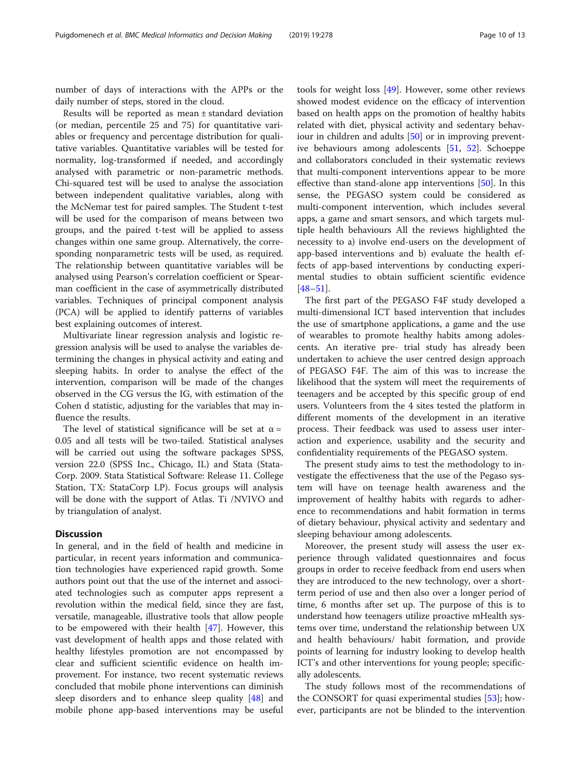Results will be reported as mean ± standard deviation (or median, percentile 25 and 75) for quantitative variables or frequency and percentage distribution for qualitative variables. Quantitative variables will be tested for normality, log-transformed if needed, and accordingly analysed with parametric or non-parametric methods. Chi-squared test will be used to analyse the association between independent qualitative variables, along with the McNemar test for paired samples. The Student t-test will be used for the comparison of means between two groups, and the paired t-test will be applied to assess changes within one same group. Alternatively, the corresponding nonparametric tests will be used, as required. The relationship between quantitative variables will be analysed using Pearson's correlation coefficient or Spearman coefficient in the case of asymmetrically distributed variables. Techniques of principal component analysis (PCA) will be applied to identify patterns of variables best explaining outcomes of interest.

Multivariate linear regression analysis and logistic regression analysis will be used to analyse the variables determining the changes in physical activity and eating and sleeping habits. In order to analyse the effect of the intervention, comparison will be made of the changes observed in the CG versus the IG, with estimation of the Cohen d statistic, adjusting for the variables that may influence the results.

The level of statistical significance will be set at  $\alpha =$ 0.05 and all tests will be two-tailed. Statistical analyses will be carried out using the software packages SPSS, version 22.0 (SPSS Inc., Chicago, IL) and Stata (Stata-Corp. 2009. Stata Statistical Software: Release 11. College Station, TX: StataCorp LP). Focus groups will analysis will be done with the support of Atlas. Ti /NVIVO and by triangulation of analyst.

# **Discussion**

In general, and in the field of health and medicine in particular, in recent years information and communication technologies have experienced rapid growth. Some authors point out that the use of the internet and associated technologies such as computer apps represent a revolution within the medical field, since they are fast, versatile, manageable, illustrative tools that allow people to be empowered with their health  $[47]$  $[47]$ . However, this vast development of health apps and those related with healthy lifestyles promotion are not encompassed by clear and sufficient scientific evidence on health improvement. For instance, two recent systematic reviews concluded that mobile phone interventions can diminish sleep disorders and to enhance sleep quality [[48](#page-12-0)] and mobile phone app-based interventions may be useful

tools for weight loss [[49](#page-12-0)]. However, some other reviews showed modest evidence on the efficacy of intervention based on health apps on the promotion of healthy habits related with diet, physical activity and sedentary behaviour in children and adults [[50](#page-12-0)] or in improving preventive behaviours among adolescents [[51,](#page-12-0) [52](#page-12-0)]. Schoeppe and collaborators concluded in their systematic reviews that multi-component interventions appear to be more effective than stand-alone app interventions [[50\]](#page-12-0). In this sense, the PEGASO system could be considered as multi-component intervention, which includes several apps, a game and smart sensors, and which targets multiple health behaviours All the reviews highlighted the necessity to a) involve end-users on the development of app-based interventions and b) evaluate the health effects of app-based interventions by conducting experimental studies to obtain sufficient scientific evidence [[48](#page-12-0)–[51](#page-12-0)].

The first part of the PEGASO F4F study developed a multi-dimensional ICT based intervention that includes the use of smartphone applications, a game and the use of wearables to promote healthy habits among adolescents. An iterative pre- trial study has already been undertaken to achieve the user centred design approach of PEGASO F4F. The aim of this was to increase the likelihood that the system will meet the requirements of teenagers and be accepted by this specific group of end users. Volunteers from the 4 sites tested the platform in different moments of the development in an iterative process. Their feedback was used to assess user interaction and experience, usability and the security and confidentiality requirements of the PEGASO system.

The present study aims to test the methodology to investigate the effectiveness that the use of the Pegaso system will have on teenage health awareness and the improvement of healthy habits with regards to adherence to recommendations and habit formation in terms of dietary behaviour, physical activity and sedentary and sleeping behaviour among adolescents.

Moreover, the present study will assess the user experience through validated questionnaires and focus groups in order to receive feedback from end users when they are introduced to the new technology, over a shortterm period of use and then also over a longer period of time, 6 months after set up. The purpose of this is to understand how teenagers utilize proactive mHealth systems over time, understand the relationship between UX and health behaviours/ habit formation, and provide points of learning for industry looking to develop health ICT's and other interventions for young people; specifically adolescents.

The study follows most of the recommendations of the CONSORT for quasi experimental studies [[53](#page-12-0)]; however, participants are not be blinded to the intervention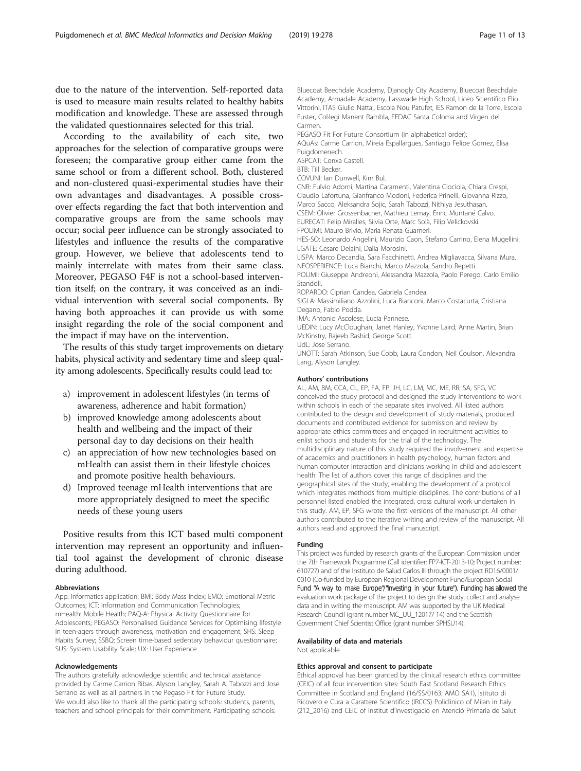due to the nature of the intervention. Self-reported data is used to measure main results related to healthy habits modification and knowledge. These are assessed through the validated questionnaires selected for this trial.

According to the availability of each site, two approaches for the selection of comparative groups were foreseen; the comparative group either came from the same school or from a different school. Both, clustered and non-clustered quasi-experimental studies have their own advantages and disadvantages. A possible crossover effects regarding the fact that both intervention and comparative groups are from the same schools may occur; social peer influence can be strongly associated to lifestyles and influence the results of the comparative group. However, we believe that adolescents tend to mainly interrelate with mates from their same class. Moreover, PEGASO F4F is not a school-based intervention itself; on the contrary, it was conceived as an individual intervention with several social components. By having both approaches it can provide us with some insight regarding the role of the social component and the impact if may have on the intervention.

The results of this study target improvements on dietary habits, physical activity and sedentary time and sleep quality among adolescents. Specifically results could lead to:

- a) improvement in adolescent lifestyles (in terms of awareness, adherence and habit formation)
- b) improved knowledge among adolescents about health and wellbeing and the impact of their personal day to day decisions on their health
- c) an appreciation of how new technologies based on mHealth can assist them in their lifestyle choices and promote positive health behaviours.
- d) Improved teenage mHealth interventions that are more appropriately designed to meet the specific needs of these young users

Positive results from this ICT based multi component intervention may represent an opportunity and influential tool against the development of chronic disease during adulthood.

#### Abbreviations

App: Informatics application; BMI: Body Mass Index; EMO: Emotional Metric Outcomes; ICT: Information and Communication Technologies; mHealth: Mobile Health; PAQ-A: Physical Activity Questionnaire for Adolescents; PEGASO: Personalised Guidance Services for Optimising lifestyle in teen-agers through awareness, motivation and engagement; SHS: Sleep Habits Survey; SSBQ: Screen time-based sedentary behaviour questionnaire; SUS: System Usability Scale; UX: User Experience

#### Acknowledgements

The authors gratefully acknowledge scientific and technical assistance provided by Carme Carrion Ribas, Alyson Langley, Sarah A. Tabozzi and Jose Serrano as well as all partners in the Pegaso Fit for Future Study. We would also like to thank all the participating schools: students, parents, teachers and school principals for their commitment. Participating schools:

Bluecoat Beechdale Academy, Djanogly City Academy, Bluecoat Beechdale Academy, Armadale Academy, Lasswade High School, Liceo Scientifico Elio Vittorini, ITAS Giulio Natta,, Escola Nou Patufet, IES Ramon de la Torre, Escola Fuster, Col·legi Manent Rambla, FEDAC Santa Coloma and Virgen del Carmen.

PEGASO Fit For Future Consortium (in alphabetical order): AQuAs: Carme Carrion, Mireia Espallargues, Santiago Felipe Gomez, Elisa Puigdomenech.

ASPCAT: Conxa Castell.

BTB: Till Becker.

COVUNI: Ian Dunwell, Kim Bul.

CNR: Fulvio Adorni, Martina Caramenti, Valentina Ciociola, Chiara Crespi, Claudio Lafortuna, Gianfranco Modoni, Federica Prinelli, Giovanna Rizzo, Marco Sacco, Aleksandra Sojic, Sarah Tabozzi, Nithiya Jesuthasan.

CSEM: Olivier Grossenbacher, Mathieu Lemay, Enric Muntané Calvo. EURECAT: Felip Miralles, Silvia Orte, Marc Solà, Filip Velickovski.

FPOLIMI: Mauro Brivio, Maria Renata Guarneri.

HES-SO: Leonardo Angelini, Maurizio Caon, Stefano Carrino, Elena Mugellini. LGATE: Cesare Delaini, Dalia Morosini.

LISPA: Marco Decandia, Sara Facchinetti, Andrea Migliavacca, Silvana Mura. NEOSPERIENCE: Luca Bianchi, Marco Mazzola, Sandro Repetti.

POLIMI: Giuseppe Andreoni, Alessandra Mazzola, Paolo Perego, Carlo Emilio **Standoli**.

ROPARDO: Ciprian Candea, Gabriela Candea.

SIGLA: Massimiliano Azzolini, Luca Bianconi, Marco Costacurta, Cristiana Degano, Fabio Podda.

IMA: Antonio Ascolese, Lucia Pannese.

UEDIN: Lucy McCloughan, Janet Hanley, Yvonne Laird, Anne Martin, Brian McKinstry, Rajeeb Rashid, George Scott.

UdL: Jose Serrano.

UNOTT: Sarah Atkinson, Sue Cobb, Laura Condon, Neil Coulson, Alexandra Lang, Alyson Langley.

#### Authors' contributions

AL, AM, BM, CCA, CL, EP, FA, FP, JH, LC, LM, MC, ME, RR; SA, SFG, VC conceived the study protocol and designed the study interventions to work within schools in each of the separate sites involved. All listed authors contributed to the design and development of study materials, produced documents and contributed evidence for submission and review by appropriate ethics committees and engaged in recruitment activities to enlist schools and students for the trial of the technology. The multidisciplinary nature of this study required the involvement and expertise of academics and practitioners in health psychology, human factors and human computer interaction and clinicians working in child and adolescent health. The list of authors cover this range of disciplines and the geographical sites of the study, enabling the development of a protocol which integrates methods from multiple disciplines. The contributions of all personnel listed enabled the integrated, cross cultural work undertaken in this study. AM, EP, SFG wrote the first versions of the manuscript. All other authors contributed to the iterative writing and review of the manuscript. All authors read and approved the final manuscript.

#### Funding

This project was funded by research grants of the European Commission under the 7th Framework Programme (Call identifier: FP7-ICT-2013-10; Project number: 610727) and of the Instituto de Salud Carlos III through the project RD16/0001/ 0010 (Co-funded by European Regional Development Fund/European Social Fund "A way to make Europe"/"Investing in your future"). Funding has allowed the evaluation work package of the project to design the study, collect and analyse data and in writing the manuscript. AM was supported by the UK Medical Research Council (grant number MC\_UU\_12017/ 14) and the Scottish Government Chief Scientist Office (grant number SPHSU14).

# Availability of data and materials

Not applicable.

#### Ethics approval and consent to participate

Ethical approval has been granted by the clinical research ethics committee (CEIC) of all four intervention sites: South East Scotland Research Ethics Committee in Scotland and England (16/SS/0163; AMO SA1), Istituto di Ricovero e Cura a Carattere Scientifico (IRCCS) Policlinico of Milan in Italy (212\_2016) and CEIC of Institut d'Investigació en Atenció Primaria de Salut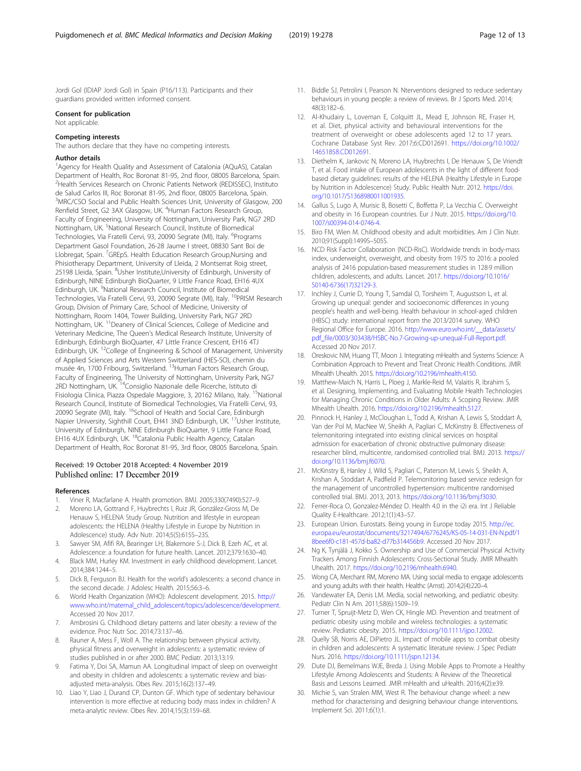<span id="page-11-0"></span>Jordi Gol (IDIAP Jordi Gol) in Spain (P16/113). Participants and their guardians provided written informed consent.

#### Consent for publication

Not applicable.

#### Competing interests

The authors declare that they have no competing interests.

#### Author details

<sup>1</sup> Agency for Health Quality and Assessment of Catalonia (AQuAS), Catalan Department of Health, Roc Boronat 81-95, 2nd floor, 08005 Barcelona, Spain. <sup>2</sup> Health Services Research on Chronic Patients Network (REDISSEC), Instituto de Salud Carlos III, Roc Boronat 81-95, 2nd floor, 08005 Barcelona, Spain. <sup>3</sup>MRC/CSO Social and Public Health Sciences Unit, University of Glasgow, 200 Renfield Street, G2 3AX Glasgow, UK. <sup>4</sup>Human Factors Research Group, Faculty of Engineering, University of Nottingham, University Park, NG7 2RD Nottingham, UK. <sup>5</sup>National Research Council, Institute of Biomedical Technologies, Via Fratelli Cervi, 93, 20090 Segrate (MI), Italy. <sup>6</sup>Programs Department Gasol Foundation, 26-28 Jaume I street, 08830 Sant Boi de Llobregat, Spain. <sup>7</sup>GREpS. Health Education Research Group,Nursing and Phisiotherapy Department, University of Lleida, 2 Montserrat Roig street, 25198 Lleida, Spain. <sup>8</sup>Usher Institute,University of Edinburgh, University of Edinburgh, NINE Edinburgh BioQuarter, 9 Little France Road, EH16 4UX Edinburgh, UK. <sup>9</sup>National Research Council, Institute of Biomedical Technologies, Via Fratelli Cervi, 93, 20090 Segrate (MI), Italy. <sup>10</sup>PRISM Research Group, Division of Primary Care, School of Medicine, University of Nottingham, Room 1404, Tower Building, University Park, NG7 2RD Nottingham, UK. 11Deanery of Clinical Sciences, College of Medicine and Veterinary Medicine, The Queen's Medical Research Institute, University of Edinburgh, Edinburgh BioQuarter, 47 Little France Crescent, EH16 4TJ Edinburgh, UK.<sup>12</sup>College of Engineering & School of Management, University of Applied Sciences and Arts Western Switzerland (HES-SO), chemin du musée 4n, 1700 Fribourg, Switzerland. 13Human Factors Research Group, Faculty of Engineering, The University of Nottingham, University Park, NG7<br>2RD Nottingham, UK. <sup>14</sup>Consiglio Nazionale delle Ricerche, Istituto di Fisiologia Clinica, Piazza Ospedale Maggiore, 3, 20162 Milano, Italy. <sup>15</sup>National Research Council, Institute of Biomedical Technologies, Via Fratelli Cervi, 93, 20090 Segrate (MI), Italy. <sup>16</sup>School of Health and Social Care, Edinburgh Napier University, Sighthill Court, EH41 3ND Edinburgh, UK. <sup>17</sup>Usher Institute, University of Edinburgh, NINE Edinburgh BioQuarter, 9 Little France Road, EH16 4UX Edinburgh, UK. 18Catalonia Public Health Agency, Catalan Department of Health, Roc Boronat 81-95, 3rd floor, 08005 Barcelona, Spain.

#### Received: 19 October 2018 Accepted: 4 November 2019 Published online: 17 December 2019

#### References

- 1. Viner R, Macfarlane A. Health promotion. BMJ. 2005;330(7490):527–9.
- 2. Moreno LA, Gottrand F, Huybrechts I, Ruiz JR, González-Gross M, De Henauw S, HELENA Study Group. Nutrition and lifestyle in european adolescents: the HELENA (Healthy Lifestyle in Europe by Nutrition in Adolescence) study. Adv Nutr. 2014;5(5):615S–23S.
- 3. Sawyer SM, Afifi RA, Bearinger LH, Blakemore S-J, Dick B, Ezeh AC, et al. Adolescence: a foundation for future health. Lancet. 2012;379:1630–40.
- 4. Black MM, Hurley KM. Investment in early childhood development. Lancet. 2014;384:1244–5.
- 5. Dick B, Ferguson BJ. Health for the world's adolescents: a second chance in the second decade. J Adolesc Health. 2015;56:3–6.
- 6. World Health Organization (WHO): Adolescent development. 2015. [http://](http://www.who.int/maternal_child_adolescent/topics/adolescence/development) [www.who.int/maternal\\_child\\_adolescent/topics/adolescence/development](http://www.who.int/maternal_child_adolescent/topics/adolescence/development). Accessed 20 Nov 2017.
- 7. Ambrosini G. Childhood dietary patterns and later obesity: a review of the evidence. Proc Nutr Soc. 2014;73:137–46.
- 8. Rauner A, Mess F, Woll A. The relationship between physical activity, physical fitness and overweight in adolescents: a systematic review of studies published in or after 2000. BMC Pediatr. 2013;13:19.
- 9. Fatima Y, Doi SA, Mamun AA. Longitudinal impact of sleep on overweight and obesity in children and adolescents: a systematic review and biasadjusted meta-analysis. Obes Rev. 2015;16(2):137–49.
- 10. Liao Y, Liao J, Durand CP, Dunton GF. Which type of sedentary behaviour intervention is more effective at reducing body mass index in children? A meta-analytic review. Obes Rev. 2014;15(3):159–68.
- 11. Biddle SJ, Petrolini I, Pearson N. Nterventions designed to reduce sedentary behaviours in young people: a review of reviews. Br J Sports Med. 2014; 48(3):182–6.
- 12. Al-Khudairy L, Loveman E, Colquitt JL, Mead E, Johnson RE, Fraser H, et al. Diet, physical activity and behavioural interventions for the treatment of overweight or obese adolescents aged 12 to 17 years. Cochrane Database Syst Rev. 2017;6:CD012691. [https://doi.org/10.1002/](https://doi.org/10.1002/14651858.CD012691) [14651858.CD012691.](https://doi.org/10.1002/14651858.CD012691)
- 13. Diethelm K, Jankovic N, Moreno LA, Huybrechts I, De Henauw S, De Vriendt T, et al. Food intake of European adolescents in the light of different foodbased dietary guidelines: results of the HELENA (Healthy Lifestyle in Europe by Nutrition in Adolescence) Study. Public Health Nutr. 2012. [https://doi.](https://doi.org/10.1017/S1368980011001935) [org/10.1017/S1368980011001935.](https://doi.org/10.1017/S1368980011001935)
- 14. Gallus S, Lugo A, Murisic B, Bosetti C, Boffetta P, La Vecchia C. Overweight and obesity in 16 European countries. Eur J Nutr. 2015. [https://doi.org/10.](https://doi.org/10.1007/s00394-014-0746-4) [1007/s00394-014-0746-4](https://doi.org/10.1007/s00394-014-0746-4).
- 15. Biro FM, Wien M. Childhood obesity and adult morbidities. Am J Clin Nutr. 2010;91(Suppl):1499S–505S.
- 16. NCD Risk Factor Collaboration (NCD-RisC). Worldwide trends in body-mass index, underweight, overweight, and obesity from 1975 to 2016: a pooled analysis of 2416 population-based measurement studies in 128·9 million children, adolescents, and adults. Lancet. 2017. [https://doi.org/10.1016/](https://doi.org/10.1016/S0140-6736(17)32129-3) [S0140-6736\(17\)32129-3](https://doi.org/10.1016/S0140-6736(17)32129-3).
- 17. Inchley J, Currie D, Young T, Samdal O, Torsheim T, Augustson L, et al. Growing up unequal: gender and socioeconomic differences in young people's health and well-being. Health behaviour in school-aged children (HBSC) study: international report from the 2013/2014 survey. WHO Regional Office for Europe. 2016. [http://www.euro.who.int/\\_\\_data/assets/](http://www.euro.who.int/__data/assets/pdf_file/0003/303438/HSBC-No.7-Growing-up-unequal-Full-Report.pdf) [pdf\\_file/0003/303438/HSBC-No.7-Growing-up-unequal-Full-Report.pdf.](http://www.euro.who.int/__data/assets/pdf_file/0003/303438/HSBC-No.7-Growing-up-unequal-Full-Report.pdf) Accessed 20 Nov 2017.
- 18. Oreskovic NM, Huang TT, Moon J. Integrating mHealth and Systems Science: A Combination Approach to Prevent and Treat Chronic Health Conditions. JMIR Mhealth Uhealth. 2015. [https://doi.org/10.2196/mhealth.4150.](https://doi.org/10.2196/mhealth.4150)
- 19. Matthew-Maich N, Harris L, Ploeg J, Markle-Reid M, Valaitis R, Ibrahim S, et al. Designing, Implementing, and Evaluating Mobile Health Technologies for Managing Chronic Conditions in Older Adults: A Scoping Review. JMIR Mhealth Uhealth. 2016. <https://doi.org/10.2196/mhealth.5127>.
- 20. Pinnock H, Hanley J, McCloughan L, Todd A, Krishan A, Lewis S, Stoddart A, Van der Pol M, MacNee W, Sheikh A, Pagliari C, McKinstry B. Effectiveness of telemonitoring integrated into existing clinical services on hospital admission for exacerbation of chronic obstructive pulmonary disease: researcher blind, multicentre, randomised controlled trial. BMJ. 2013. [https://](https://doi.org/10.1136/bmj.f6070) [doi.org/10.1136/bmj.f6070](https://doi.org/10.1136/bmj.f6070).
- 21. McKinstry B, Hanley J, Wild S, Pagliari C, Paterson M, Lewis S, Sheikh A, Krishan A, Stoddart A, Padfield P. Telemonitoring based service redesign for the management of uncontrolled hypertension: multicentre randomised controlled trial. BMJ. 2013, 2013. <https://doi.org/10.1136/bmj.f3030>.
- 22. Ferrer-Roca O, Gonzalez-Méndez D. Health 4.0 in the i2i era. Int J Reliable Quality E-Healthcare. 2012;1(1):43–57.
- 23. European Union. Eurostats. Being young in Europe today 2015. [http://ec.](http://ec.europa.eu/eurostat/documents/3217494/6776245/KS-05-14-031-EN-N.pdf/18bee6f0-c181-457d-ba82-d77b314456b9) [europa.eu/eurostat/documents/3217494/6776245/KS-05-14-031-EN-N.pdf/1](http://ec.europa.eu/eurostat/documents/3217494/6776245/KS-05-14-031-EN-N.pdf/18bee6f0-c181-457d-ba82-d77b314456b9) [8bee6f0-c181-457d-ba82-d77b314456b9](http://ec.europa.eu/eurostat/documents/3217494/6776245/KS-05-14-031-EN-N.pdf/18bee6f0-c181-457d-ba82-d77b314456b9). Accessed 20 Nov 2017.
- 24. Ng K, Tynjälä J, Kokko S. Ownership and Use of Commercial Physical Activity Trackers Among Finnish Adolescents: Cross-Sectional Study. JMIR Mhealth Uhealth. 2017. [https://doi.org/10.2196/mhealth.6940.](https://doi.org/10.2196/mhealth.6940)
- 25. Wong CA, Merchant RM, Moreno MA. Using social media to engage adolescents and young adults with their health. Healthc (Amst). 2014;2(4):220–4.
- 26. Vandewater EA, Denis LM. Media, social networking, and pediatric obesity. Pediatr Clin N Am. 2011;58(6):1509–19.
- 27. Turner T, Spruijt-Metz D, Wen CK, Hingle MD. Prevention and treatment of pediatric obesity using mobile and wireless technologies: a systematic review. Pediatric obesity. 2015. [https://doi.org/10.1111/ijpo.12002.](https://doi.org/10.1111/ijpo.12002)
- 28. Quelly SB, Norris AE, DiPietro JL. Impact of mobile apps to combat obesity in children and adolescents: A systematic literature review. J Spec Pediatr Nurs. 2016. <https://doi.org/10.1111/jspn.12134>.
- 29. Dute DJ, Bemelmans WJE, Breda J. Using Mobile Apps to Promote a Healthy Lifestyle Among Adolescents and Students: A Review of the Theoretical Basis and Lessons Learned. JMIR mHealth and uHealth. 2016;4(2):e39.
- 30. Michie S, van Stralen MM, West R. The behaviour change wheel: a new method for characterising and designing behaviour change interventions. Implement Sci. 2011;6(1):1.